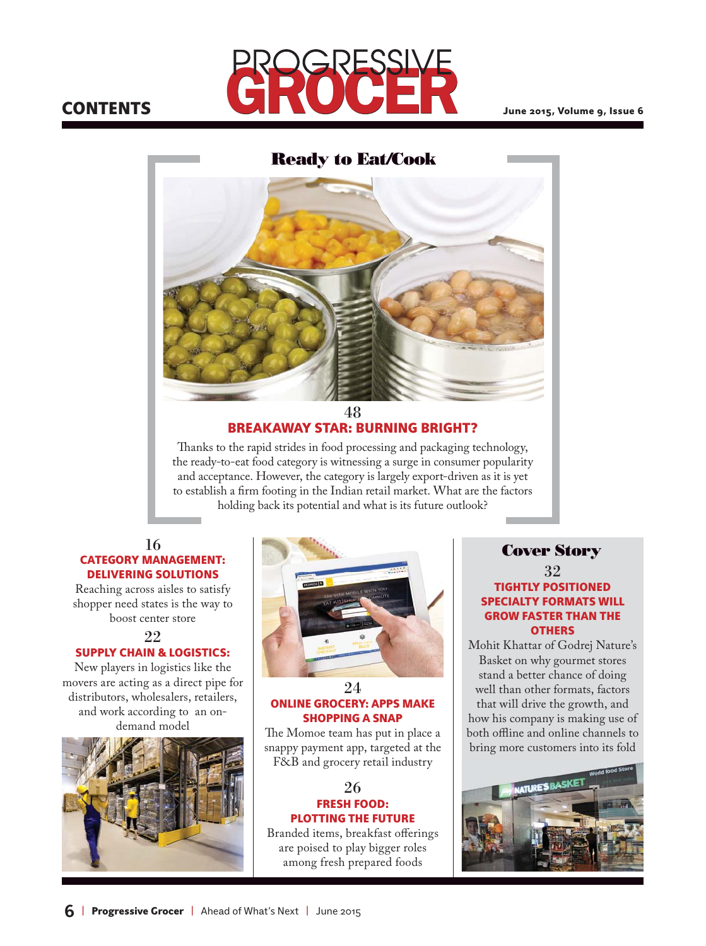# **CONTENTS**



## **Ready to Eat/Cook**



# BREAKAWAY STAR: BURNING BRIGHT?

Thanks to the rapid strides in food processing and packaging technology, the ready-to-eat food category is witnessing a surge in consumer popularity and acceptance. However, the category is largely export-driven as it is yet to establish a firm footing in the Indian retail market. What are the factors holding back its potential and what is its future outlook?

# DELIVERING SOLUTIONS

Reaching across aisles to satisfy shopper need states is the way to boost center store

99

#### SUPPLY CHAIN & LOGISTICS:

New players in logistics like the movers are acting as a direct pipe for distributors, wholesalers, retailers, and work according to an ondemand model





#### 24 ONLINE GROCERY: APPS MAKE SHOPPING A SNAP

The Momoe team has put in place a snappy payment app, targeted at the F&B and grocery retail industry

#### 26 FRESH FOOD: PLOTTING THE FUTURE

Branded items, breakfast offerings are poised to play bigger roles among fresh prepared foods

#### 32 TIGHTLY POSITIONED SPECIALTY FORMATS WILL GROW FASTER THAN THE **OTHERS**

Mohit Khattar of Godrej Nature's Basket on why gourmet stores stand a better chance of doing well than other formats, factors that will drive the growth, and how his company is making use of both offline and online channels to bring more customers into its fold